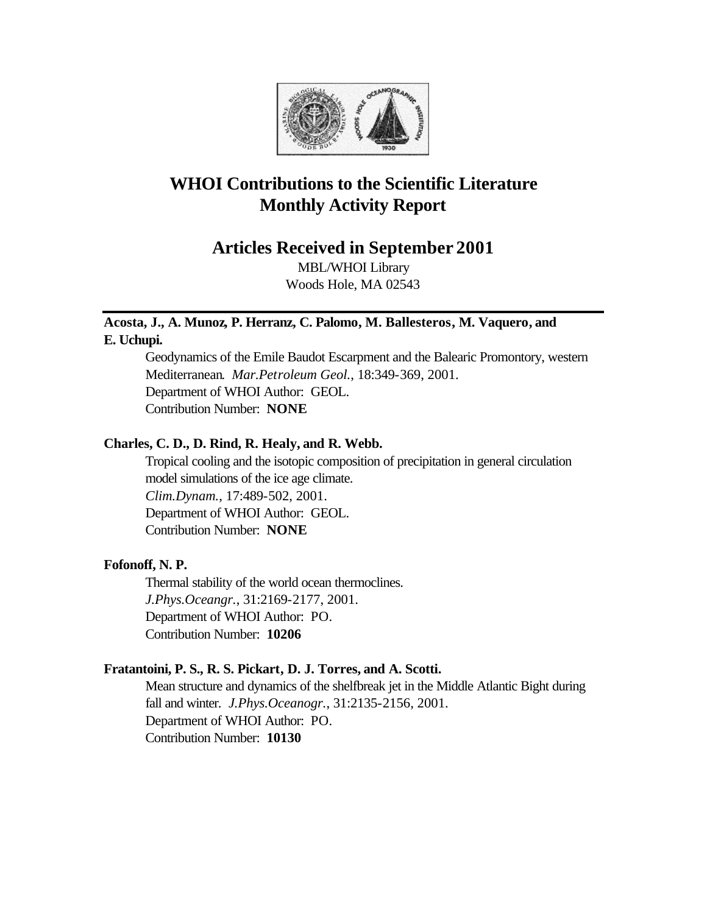

# **WHOI Contributions to the Scientific Literature Monthly Activity Report**

# **Articles Received in September 2001**

MBL/WHOI Library Woods Hole, MA 02543

## **Acosta, J., A. Munoz, P. Herranz, C. Palomo, M. Ballesteros, M. Vaquero, and E. Uchupi.**

Geodynamics of the Emile Baudot Escarpment and the Balearic Promontory, western Mediterranean. *Mar.Petroleum Geol.*, 18:349-369, 2001. Department of WHOI Author: GEOL. Contribution Number: **NONE**

### **Charles, C. D., D. Rind, R. Healy, and R. Webb.**

Tropical cooling and the isotopic composition of precipitation in general circulation model simulations of the ice age climate. *Clim.Dynam.*, 17:489-502, 2001. Department of WHOI Author: GEOL. Contribution Number: **NONE**

# **Fofonoff, N. P.**

Thermal stability of the world ocean thermoclines. *J.Phys.Oceangr.*, 31:2169-2177, 2001. Department of WHOI Author: PO. Contribution Number: **10206**

### **Fratantoini, P. S., R. S. Pickart, D. J. Torres, and A. Scotti.**

Mean structure and dynamics of the shelfbreak jet in the Middle Atlantic Bight during fall and winter. *J.Phys.Oceanogr.*, 31:2135-2156, 2001. Department of WHOI Author: PO. Contribution Number: **10130**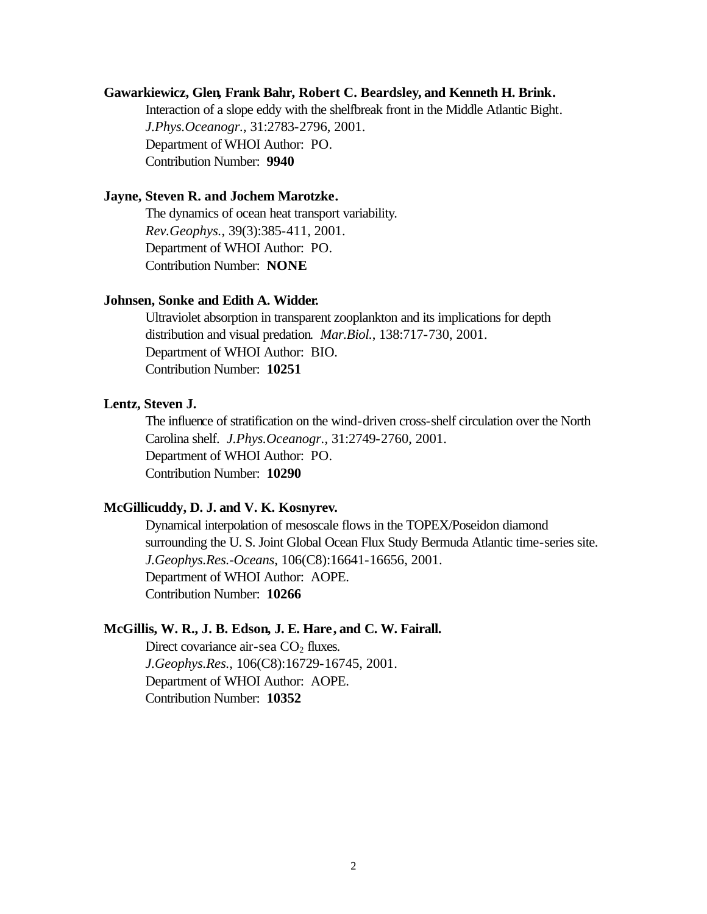#### **Gawarkiewicz, Glen, Frank Bahr, Robert C. Beardsley, and Kenneth H. Brink.**

Interaction of a slope eddy with the shelfbreak front in the Middle Atlantic Bight. *J.Phys.Oceanogr.*, 31:2783-2796, 2001. Department of WHOI Author: PO. Contribution Number: **9940**

#### **Jayne, Steven R. and Jochem Marotzke.**

The dynamics of ocean heat transport variability. *Rev.Geophys.*, 39(3):385-411, 2001. Department of WHOI Author: PO. Contribution Number: **NONE**

#### **Johnsen, Sonke and Edith A. Widder.**

Ultraviolet absorption in transparent zooplankton and its implications for depth distribution and visual predation. *Mar.Biol.*, 138:717-730, 2001. Department of WHOI Author: BIO. Contribution Number: **10251**

#### **Lentz, Steven J.**

The influence of stratification on the wind-driven cross-shelf circulation over the North Carolina shelf. *J.Phys.Oceanogr.*, 31:2749-2760, 2001. Department of WHOI Author: PO. Contribution Number: **10290**

#### **McGillicuddy, D. J. and V. K. Kosnyrev.**

Dynamical interpolation of mesoscale flows in the TOPEX/Poseidon diamond surrounding the U. S. Joint Global Ocean Flux Study Bermuda Atlantic time-series site. *J.Geophys.Res.-Oceans*, 106(C8):16641-16656, 2001. Department of WHOI Author: AOPE. Contribution Number: **10266**

#### **McGillis, W. R., J. B. Edson, J. E. Hare, and C. W. Fairall.**

Direct covariance air-sea  $CO<sub>2</sub>$  fluxes. *J.Geophys.Res.*, 106(C8):16729-16745, 2001. Department of WHOI Author: AOPE. Contribution Number: **10352**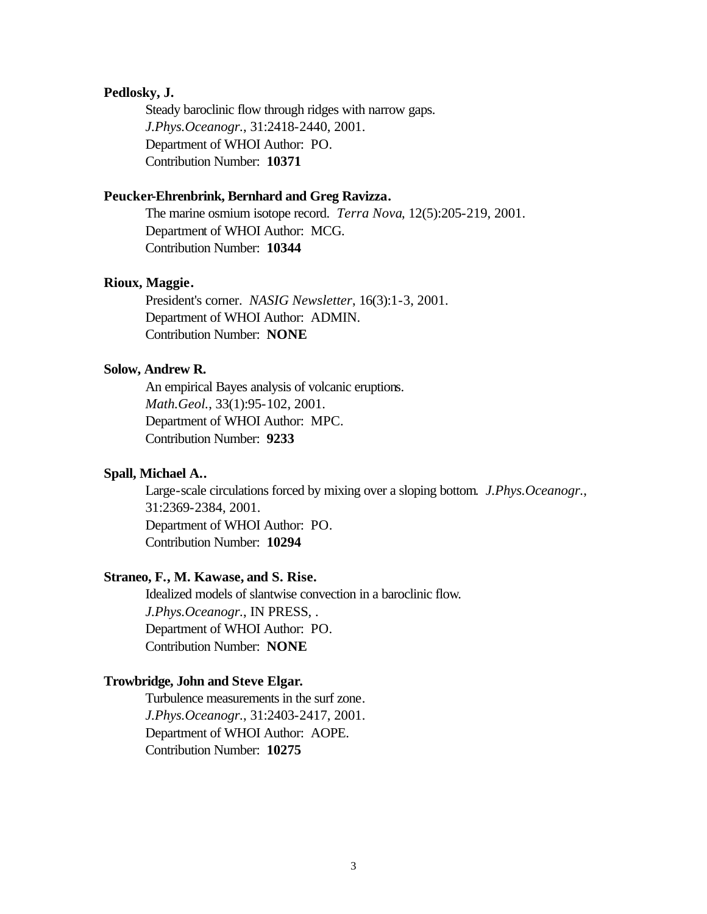#### **Pedlosky, J.**

Steady baroclinic flow through ridges with narrow gaps. *J.Phys.Oceanogr.*, 31:2418-2440, 2001. Department of WHOI Author: PO. Contribution Number: **10371**

#### **Peucker-Ehrenbrink, Bernhard and Greg Ravizza.**

The marine osmium isotope record. *Terra Nova*, 12(5):205-219, 2001. Department of WHOI Author: MCG. Contribution Number: **10344**

#### **Rioux, Maggie.**

President's corner. *NASIG Newsletter*, 16(3):1-3, 2001. Department of WHOI Author: ADMIN. Contribution Number: **NONE**

#### **Solow, Andrew R.**

An empirical Bayes analysis of volcanic eruptions. *Math.Geol.*, 33(1):95-102, 2001. Department of WHOI Author: MPC. Contribution Number: **9233**

### **Spall, Michael A..**

Large-scale circulations forced by mixing over a sloping bottom. *J.Phys.Oceanogr.*, 31:2369-2384, 2001. Department of WHOI Author: PO. Contribution Number: **10294**

# **Straneo, F., M. Kawase, and S. Rise.**

Idealized models of slantwise convection in a baroclinic flow. *J.Phys.Oceanogr.*, IN PRESS, . Department of WHOI Author: PO. Contribution Number: **NONE**

#### **Trowbridge, John and Steve Elgar.**

Turbulence measurements in the surf zone. *J.Phys.Oceanogr.*, 31:2403-2417, 2001. Department of WHOI Author: AOPE. Contribution Number: **10275**